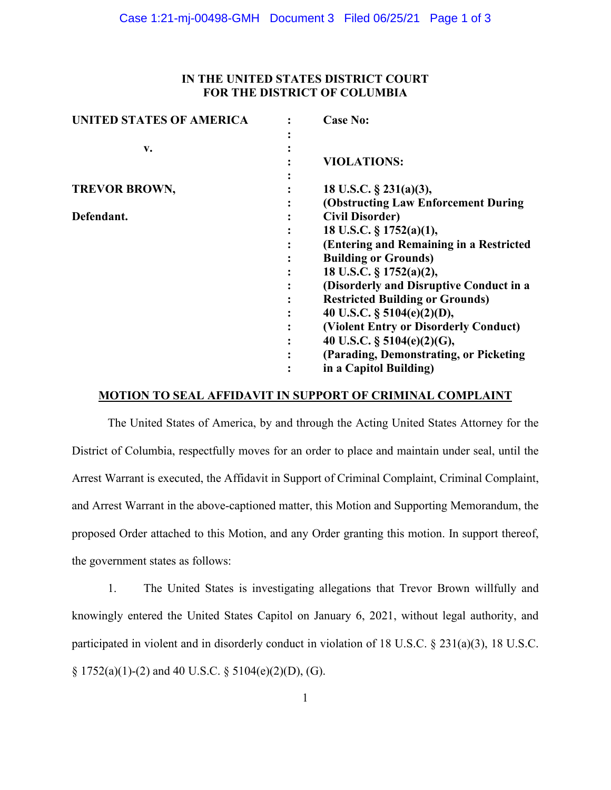# **IN THE UNITED STATES DISTRICT COURT FOR THE DISTRICT OF COLUMBIA**

| <b>UNITED STATES OF AMERICA</b> | <b>Case No:</b>                         |
|---------------------------------|-----------------------------------------|
|                                 |                                         |
| v.                              |                                         |
|                                 | <b>VIOLATIONS:</b>                      |
|                                 |                                         |
| <b>TREVOR BROWN,</b>            | 18 U.S.C. $\S$ 231(a)(3),               |
|                                 | (Obstructing Law Enforcement During     |
| Defendant.                      | <b>Civil Disorder)</b>                  |
|                                 | 18 U.S.C. § 1752(a)(1),                 |
|                                 | (Entering and Remaining in a Restricted |
|                                 | <b>Building or Grounds)</b>             |
|                                 | 18 U.S.C. § 1752(a)(2),                 |
|                                 | (Disorderly and Disruptive Conduct in a |
|                                 | <b>Restricted Building or Grounds)</b>  |
|                                 | 40 U.S.C. $\S$ 5104(e)(2)(D),           |
|                                 | (Violent Entry or Disorderly Conduct)   |
|                                 | 40 U.S.C. $\S$ 5104(e)(2)(G),           |
|                                 | (Parading, Demonstrating, or Picketing  |
|                                 | in a Capitol Building)                  |

### **MOTION TO SEAL AFFIDAVIT IN SUPPORT OF CRIMINAL COMPLAINT**

The United States of America, by and through the Acting United States Attorney for the District of Columbia, respectfully moves for an order to place and maintain under seal, until the Arrest Warrant is executed, the Affidavit in Support of Criminal Complaint, Criminal Complaint, and Arrest Warrant in the above-captioned matter, this Motion and Supporting Memorandum, the proposed Order attached to this Motion, and any Order granting this motion. In support thereof, the government states as follows:

1. The United States is investigating allegations that Trevor Brown willfully and knowingly entered the United States Capitol on January 6, 2021, without legal authority, and participated in violent and in disorderly conduct in violation of 18 U.S.C. § 231(a)(3), 18 U.S.C.  $\S 1752(a)(1)-(2)$  and 40 U.S.C.  $\S 5104(e)(2)(D)$ , (G).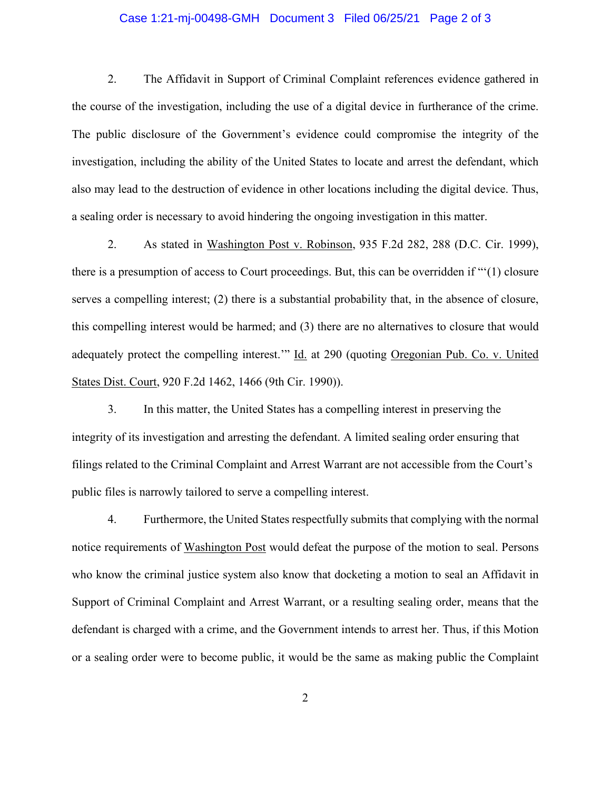### Case 1:21-mj-00498-GMH Document 3 Filed 06/25/21 Page 2 of 3

2. The Affidavit in Support of Criminal Complaint references evidence gathered in the course of the investigation, including the use of a digital device in furtherance of the crime. The public disclosure of the Government's evidence could compromise the integrity of the investigation, including the ability of the United States to locate and arrest the defendant, which also may lead to the destruction of evidence in other locations including the digital device. Thus, a sealing order is necessary to avoid hindering the ongoing investigation in this matter.

2. As stated in Washington Post v. Robinson, 935 F.2d 282, 288 (D.C. Cir. 1999), there is a presumption of access to Court proceedings. But, this can be overridden if "'(1) closure serves a compelling interest; (2) there is a substantial probability that, in the absence of closure, this compelling interest would be harmed; and (3) there are no alternatives to closure that would adequately protect the compelling interest.'" Id. at 290 (quoting Oregonian Pub. Co. v. United States Dist. Court, 920 F.2d 1462, 1466 (9th Cir. 1990)).

3. In this matter, the United States has a compelling interest in preserving the integrity of its investigation and arresting the defendant. A limited sealing order ensuring that filings related to the Criminal Complaint and Arrest Warrant are not accessible from the Court's public files is narrowly tailored to serve a compelling interest.

4. Furthermore, the United States respectfully submits that complying with the normal notice requirements of Washington Post would defeat the purpose of the motion to seal. Persons who know the criminal justice system also know that docketing a motion to seal an Affidavit in Support of Criminal Complaint and Arrest Warrant, or a resulting sealing order, means that the defendant is charged with a crime, and the Government intends to arrest her. Thus, if this Motion or a sealing order were to become public, it would be the same as making public the Complaint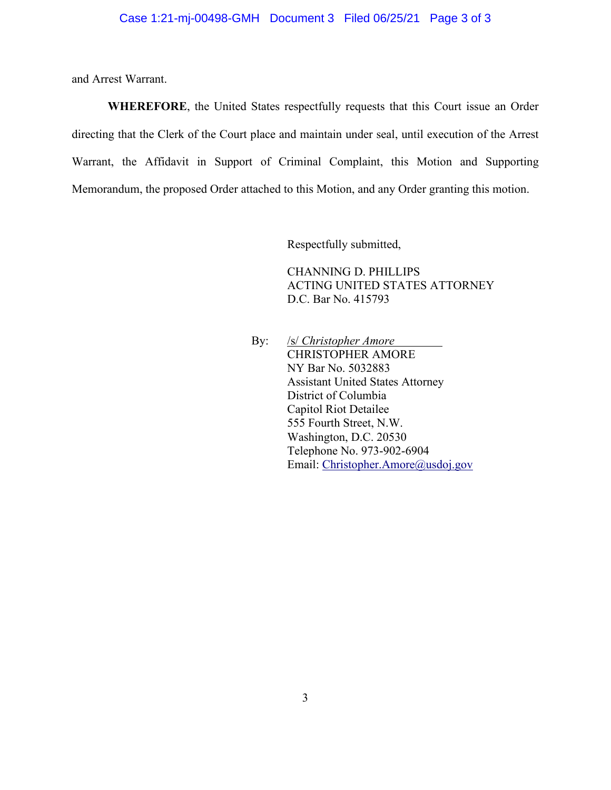and Arrest Warrant.

**WHEREFORE**, the United States respectfully requests that this Court issue an Order directing that the Clerk of the Court place and maintain under seal, until execution of the Arrest Warrant, the Affidavit in Support of Criminal Complaint, this Motion and Supporting Memorandum, the proposed Order attached to this Motion, and any Order granting this motion.

Respectfully submitted,

CHANNING D. PHILLIPS ACTING UNITED STATES ATTORNEY D.C. Bar No. 415793

By: /s/ *Christopher Amore*  CHRISTOPHER AMORE NY Bar No. 5032883 Assistant United States Attorney District of Columbia Capitol Riot Detailee 555 Fourth Street, N.W. Washington, D.C. 20530 Telephone No. 973-902-6904 Email: Christopher.Amore@usdoj.gov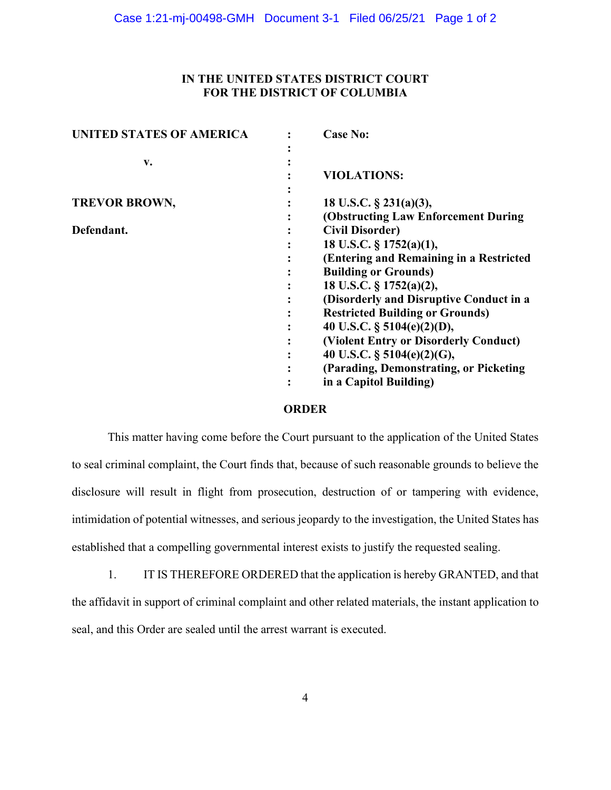# **IN THE UNITED STATES DISTRICT COURT FOR THE DISTRICT OF COLUMBIA**

| <b>UNITED STATES OF AMERICA</b> | <b>Case No:</b>                         |
|---------------------------------|-----------------------------------------|
|                                 |                                         |
| v.                              |                                         |
|                                 | <b>VIOLATIONS:</b>                      |
|                                 |                                         |
| <b>TREVOR BROWN,</b>            | 18 U.S.C. $\S$ 231(a)(3),               |
|                                 | (Obstructing Law Enforcement During     |
| Defendant.                      | <b>Civil Disorder)</b>                  |
|                                 | 18 U.S.C. § 1752(a)(1),                 |
|                                 | (Entering and Remaining in a Restricted |
|                                 | <b>Building or Grounds)</b>             |
|                                 | 18 U.S.C. § 1752(a)(2),                 |
|                                 | (Disorderly and Disruptive Conduct in a |
|                                 | <b>Restricted Building or Grounds)</b>  |
|                                 | 40 U.S.C. $\S$ 5104(e)(2)(D),           |
|                                 | (Violent Entry or Disorderly Conduct)   |
|                                 | 40 U.S.C. § 5104(e)(2)(G),              |
|                                 | (Parading, Demonstrating, or Picketing  |
|                                 | in a Capitol Building)                  |

#### **ORDER**

This matter having come before the Court pursuant to the application of the United States to seal criminal complaint, the Court finds that, because of such reasonable grounds to believe the disclosure will result in flight from prosecution, destruction of or tampering with evidence, intimidation of potential witnesses, and serious jeopardy to the investigation, the United States has established that a compelling governmental interest exists to justify the requested sealing.

1. IT IS THEREFORE ORDERED that the application is hereby GRANTED, and that the affidavit in support of criminal complaint and other related materials, the instant application to seal, and this Order are sealed until the arrest warrant is executed.